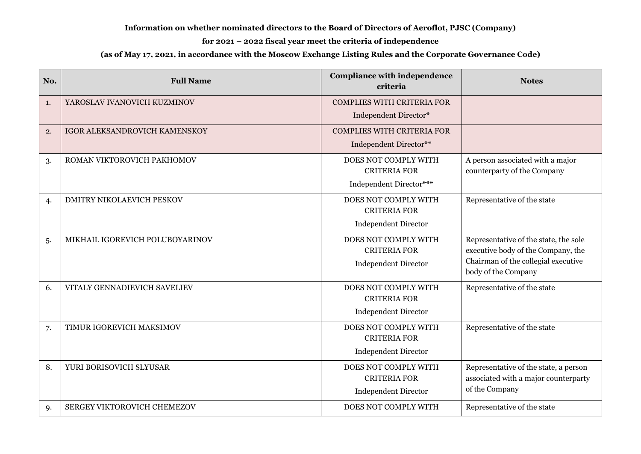## **Information on whether nominated directors to the Board of Directors of Aeroflot, PJSC (Company)**

## **for 2021 – 2022 fiscal year meet the criteria of independence**

## **(as of May 17, 2021, in accordance with the Moscow Exchange Listing Rules and the Corporate Governance Code)**

| No. | <b>Full Name</b>                 | <b>Compliance with independence</b><br>criteria | <b>Notes</b>                          |
|-----|----------------------------------|-------------------------------------------------|---------------------------------------|
| 1.  | YAROSLAV IVANOVICH KUZMINOV      | <b>COMPLIES WITH CRITERIA FOR</b>               |                                       |
|     |                                  | Independent Director*                           |                                       |
| 2.  | IGOR ALEKSANDROVICH KAMENSKOY    | <b>COMPLIES WITH CRITERIA FOR</b>               |                                       |
|     |                                  | Independent Director**                          |                                       |
| 3.  | ROMAN VIKTOROVICH PAKHOMOV       | DOES NOT COMPLY WITH                            | A person associated with a major      |
|     |                                  | <b>CRITERIA FOR</b>                             | counterparty of the Company           |
|     |                                  | Independent Director***                         |                                       |
| 4.  | <b>DMITRY NIKOLAEVICH PESKOV</b> | DOES NOT COMPLY WITH                            | Representative of the state           |
|     |                                  | <b>CRITERIA FOR</b>                             |                                       |
|     |                                  | <b>Independent Director</b>                     |                                       |
| .5. | MIKHAIL IGOREVICH POLUBOYARINOV  | DOES NOT COMPLY WITH                            | Representative of the state, the sole |
|     |                                  | <b>CRITERIA FOR</b>                             | executive body of the Company, the    |
|     |                                  | <b>Independent Director</b>                     | Chairman of the collegial executive   |
|     |                                  |                                                 | body of the Company                   |
| 6.  | VITALY GENNADIEVICH SAVELIEV     | DOES NOT COMPLY WITH                            | Representative of the state           |
|     |                                  | <b>CRITERIA FOR</b>                             |                                       |
|     |                                  | <b>Independent Director</b>                     |                                       |
| 7.  | TIMUR IGOREVICH MAKSIMOV         | DOES NOT COMPLY WITH                            | Representative of the state           |
|     |                                  | <b>CRITERIA FOR</b>                             |                                       |
|     |                                  | <b>Independent Director</b>                     |                                       |
| 8.  | YURI BORISOVICH SLYUSAR          | DOES NOT COMPLY WITH                            | Representative of the state, a person |
|     |                                  | <b>CRITERIA FOR</b>                             | associated with a major counterparty  |
|     |                                  | <b>Independent Director</b>                     | of the Company                        |
| 9.  | SERGEY VIKTOROVICH CHEMEZOV      | DOES NOT COMPLY WITH                            | Representative of the state           |